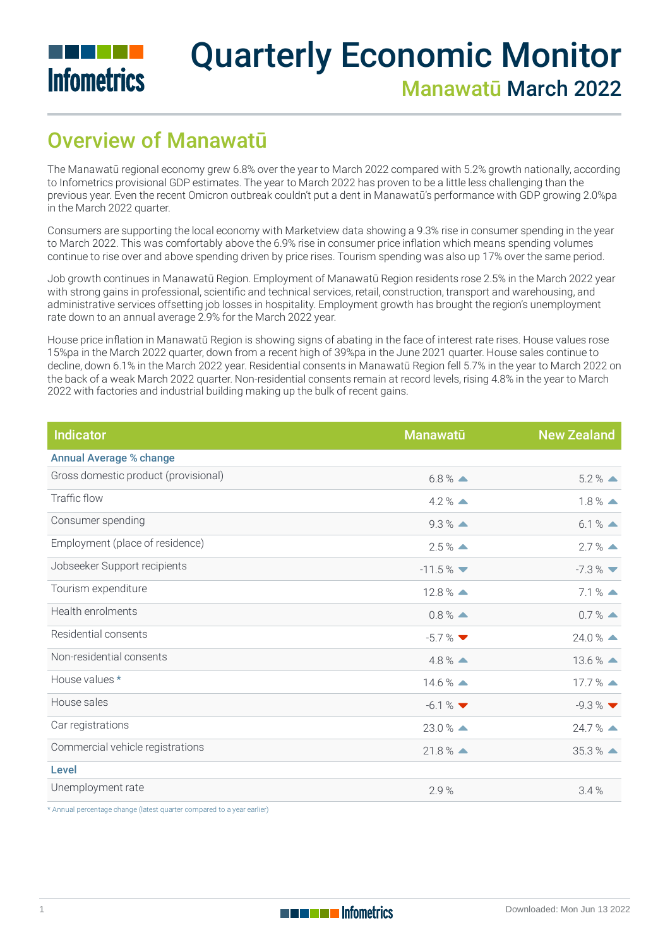

# Quarterly Economic Monitor Manawatū March 2022

## Overview of Manawatū

The Manawatū regional economy grew 6.8% over the year to March 2022 compared with 5.2% growth nationally, according to Infometrics provisional GDP estimates. The year to March 2022 has proven to be a little less challenging than the previous year. Even the recent Omicron outbreak couldn't put a dent in Manawatū's performance with GDP growing 2.0%pa in the March 2022 quarter.

Consumers are supporting the local economy with Marketview data showing a 9.3% rise in consumer spending in the year to March 2022. This was comfortably above the 6.9% rise in consumer price inflation which means spending volumes continue to rise over and above spending driven by price rises. Tourism spending was also up 17% over the same period.

Job growth continues in Manawatū Region. Employment of Manawatū Region residents rose 2.5% in the March 2022 year with strong gains in professional, scientific and technical services, retail, construction, transport and warehousing, and administrative services offsetting job losses in hospitality. Employment growth has brought the region's unemployment rate down to an annual average 2.9% for the March 2022 year.

House price inflation in Manawatū Region is showing signs of abating in the face of interest rate rises. House values rose 15%pa in the March 2022 quarter, down from a recent high of 39%pa in the June 2021 quarter. House sales continue to decline, down 6.1% in the March 2022 year. Residential consents in Manawatū Region fell 5.7% in the year to March 2022 on the back of a weak March 2022 quarter. Non-residential consents remain at record levels, rising 4.8% in the year to March 2022 with factories and industrial building making up the bulk of recent gains.

| <b>Indicator</b>                     | <b>Manawatū</b>      | <b>New Zealand</b>            |
|--------------------------------------|----------------------|-------------------------------|
| <b>Annual Average % change</b>       |                      |                               |
| Gross domestic product (provisional) | $6.8\%$ $\triangle$  | $5.2 \%$ $\triangle$          |
| Traffic flow                         | $4.2\%$ $\triangle$  | $1.8\%$ $\triangle$           |
| Consumer spending                    | $9.3\%$ $\triangle$  | $6.1%$ $\triangle$            |
| Employment (place of residence)      | $2.5\%$ $\triangle$  | $2.7\%$ $\triangle$           |
| Jobseeker Support recipients         | $-11.5%$             | $-7.3\%$ $\blacktriangledown$ |
| Tourism expenditure                  | $12.8\%$ $\triangle$ | $7.1%$ $\triangle$            |
| Health enrolments                    | $0.8\%$ $\triangle$  | $0.7\%$ $\triangle$           |
| Residential consents                 | $-5.7\%$             | $24.0\%$ $\triangle$          |
| Non-residential consents             | $4.8\%$ $\triangle$  | $13.6\%$ $\triangle$          |
| House values *                       | $14.6\%$ $\triangle$ | $17.7%$ $\triangle$           |
| House sales                          | $-6.1%$              | $-9.3\%$                      |
| Car registrations                    | $23.0\%$ $\triangle$ | $24.7%$ $\triangle$           |
| Commercial vehicle registrations     | $21.8\%$ $\triangle$ | $35.3%$ $\triangle$           |
| Level                                |                      |                               |
| Unemployment rate                    | 2.9%                 | 3.4%                          |

\* Annual percentage change (latest quarter compared to a year earlier)

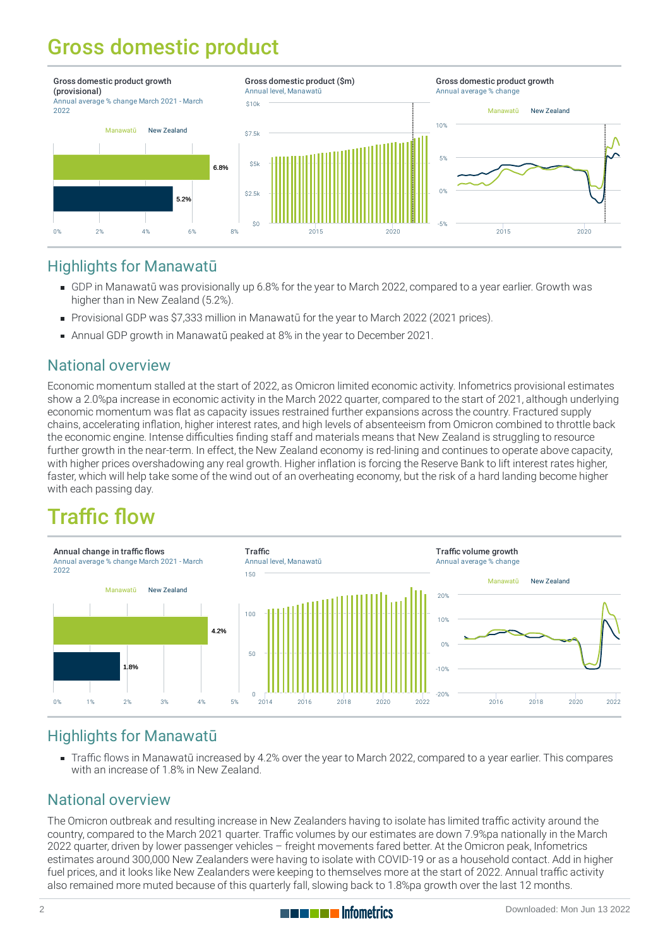## Gross domestic product



### Highlights for Manawatū

- [GDP](https://qem.infometrics.co.nz/manawatu-all/notes#gross-domestic-product) in Manawatū was provisionally up 6.8% for the year to March 2022, compared to a year earlier. Growth was higher than in New Zealand (5.2%).
- Provisional GDP was \$7,333 million in Manawatū for the year to March 2022 (2021 prices).
- Annual GDP growth in Manawatū peaked at 8% in the year to December 2021.

## National overview

Economic momentum stalled at the start of 2022, as Omicron limited economic activity. Infometrics provisional estimates show a 2.0%pa increase in economic activity in the March 2022 quarter, compared to the start of 2021, although underlying economic momentum was flat as capacity issues restrained further expansions across the country. Fractured supply chains, accelerating inflation, higher interest rates, and high levels of absenteeism from Omicron combined to throttle back the economic engine. Intense difficulties finding staff and materials means that New Zealand is struggling to resource further growth in the near-term. In effect, the New Zealand economy is red-lining and continues to operate above capacity, with higher prices overshadowing any real growth. Higher inflation is forcing the Reserve Bank to lift interest rates higher, faster, which will help take some of the wind out of an overheating economy, but the risk of a hard landing become higher with each passing day.

## Traffic flow



## Highlights for Manawatū

[Traffic](https://qem.infometrics.co.nz/manawatu-all/notes#traffic-flow) flows in Manawatū increased by 4.2% over the year to March 2022, compared to a year earlier. This compares with an increase of 1.8% in New Zealand.

## National overview

The Omicron outbreak and resulting increase in New Zealanders having to isolate has limited traffic activity around the country, compared to the March 2021 quarter. Traffic volumes by our estimates are down 7.9%pa nationally in the March 2022 quarter, driven by lower passenger vehicles – freight movements fared better. At the Omicron peak, Infometrics estimates around 300,000 New Zealanders were having to isolate with COVID-19 or as a household contact. Add in higher fuel prices, and it looks like New Zealanders were keeping to themselves more at the start of 2022. Annual traffic activity also remained more muted because of this quarterly fall, slowing back to 1.8%pa growth over the last 12 months.

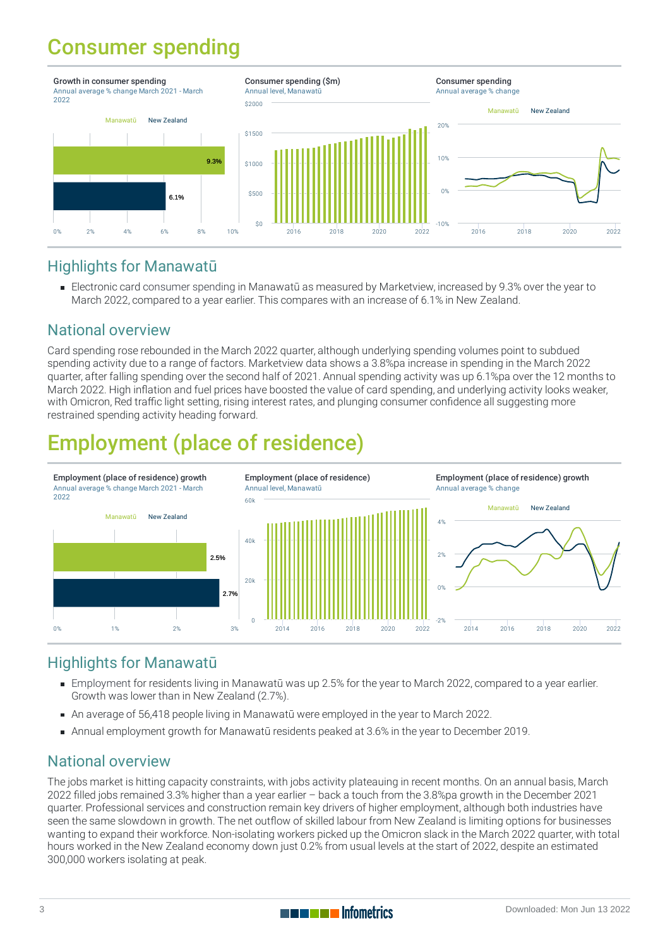## Consumer spending



## Highlights for Manawatū

Electronic card [consumer](https://qem.infometrics.co.nz/manawatu-all/notes#consumer-spending) spending in Manawatū as measured by Marketview, increased by 9.3% over the year to March 2022, compared to a year earlier. This compares with an increase of 6.1% in New Zealand.

## National overview

Card spending rose rebounded in the March 2022 quarter, although underlying spending volumes point to subdued spending activity due to a range of factors. Marketview data shows a 3.8%pa increase in spending in the March 2022 quarter, after falling spending over the second half of 2021. Annual spending activity was up 6.1%pa over the 12 months to March 2022. High inflation and fuel prices have boosted the value of card spending, and underlying activity looks weaker, with Omicron, Red traffic light setting, rising interest rates, and plunging consumer confidence all suggesting more restrained spending activity heading forward.

## Employment (place of residence)



## Highlights for Manawatū

- [Employment](https://qem.infometrics.co.nz/manawatu-all/notes#employment) for residents living in Manawatū was up 2.5% for the year to March 2022, compared to a year earlier. Growth was lower than in New Zealand (2.7%).
- An average of 56,418 people living in Manawatū were employed in the year to March 2022.
- Annual employment growth for Manawatū residents peaked at 3.6% in the year to December 2019.

## National overview

The jobs market is hitting capacity constraints, with jobs activity plateauing in recent months. On an annual basis, March 2022 filled jobs remained 3.3% higher than a year earlier – back a touch from the 3.8%pa growth in the December 2021 quarter. Professional services and construction remain key drivers of higher employment, although both industries have seen the same slowdown in growth. The net outflow of skilled labour from New Zealand is limiting options for businesses wanting to expand their workforce. Non-isolating workers picked up the Omicron slack in the March 2022 quarter, with total hours worked in the New Zealand economy down just 0.2% from usual levels at the start of 2022, despite an estimated 300,000 workers isolating at peak.

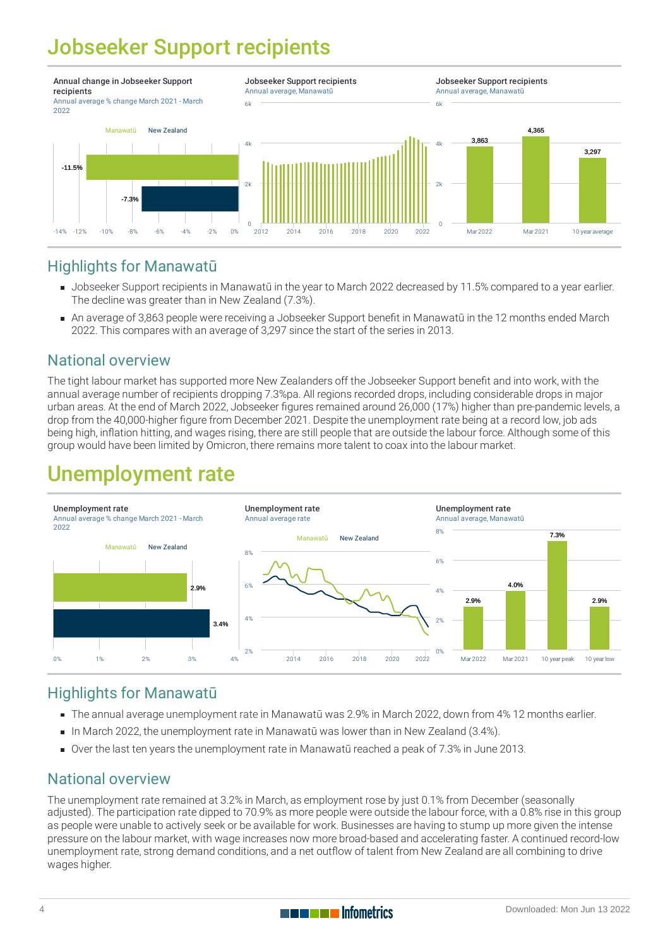## Jobseeker Support recipients



## Highlights for Manawatū

- [Jobseeker](https://qem.infometrics.co.nz/manawatu-all/notes#jobseeker-support-recipients) Support recipients in Manawatū in the year to March 2022 decreased by 11.5% compared to a year earlier. The decline was greater than in New Zealand (7.3%).
- An average of 3,863 people were receiving a Jobseeker Support benefit in Manawatū in the 12 months ended March 2022. This compares with an average of 3,297 since the start of the series in 2013.

## National overview

The tight labour market has supported more New Zealanders off the Jobseeker Support benefit and into work, with the annual average number of recipients dropping 7.3%pa. All regions recorded drops, including considerable drops in major urban areas. At the end of March 2022, Jobseeker figures remained around 26,000 (17%) higher than pre-pandemic levels, a drop from the 40,000-higher figure from December 2021. Despite the unemployment rate being at a record low, job ads being high, inflation hitting, and wages rising, there are still people that are outside the labour force. Although some of this group would have been limited by Omicron, there remains more talent to coax into the labour market.

## Unemployment rate



## Highlights for Manawatū

- The annual average [unemployment](https://qem.infometrics.co.nz/manawatu-all/notes#unemployment-rate) rate in Manawatū was 2.9% in March 2022, down from 4% 12 months earlier.
- In March 2022, the unemployment rate in Manawatū was lower than in New Zealand (3.4%).
- Over the last ten years the unemployment rate in Manawatū reached a peak of 7.3% in June 2013.

## National overview

The unemployment rate remained at 3.2% in March, as employment rose by just 0.1% from December (seasonally adjusted). The participation rate dipped to 70.9% as more people were outside the labour force, with a 0.8% rise in this group as people were unable to actively seek or be available for work. Businesses are having to stump up more given the intense pressure on the labour market, with wage increases now more broad-based and accelerating faster. A continued record-low unemployment rate, strong demand conditions, and a net outflow of talent from New Zealand are all combining to drive wages higher.

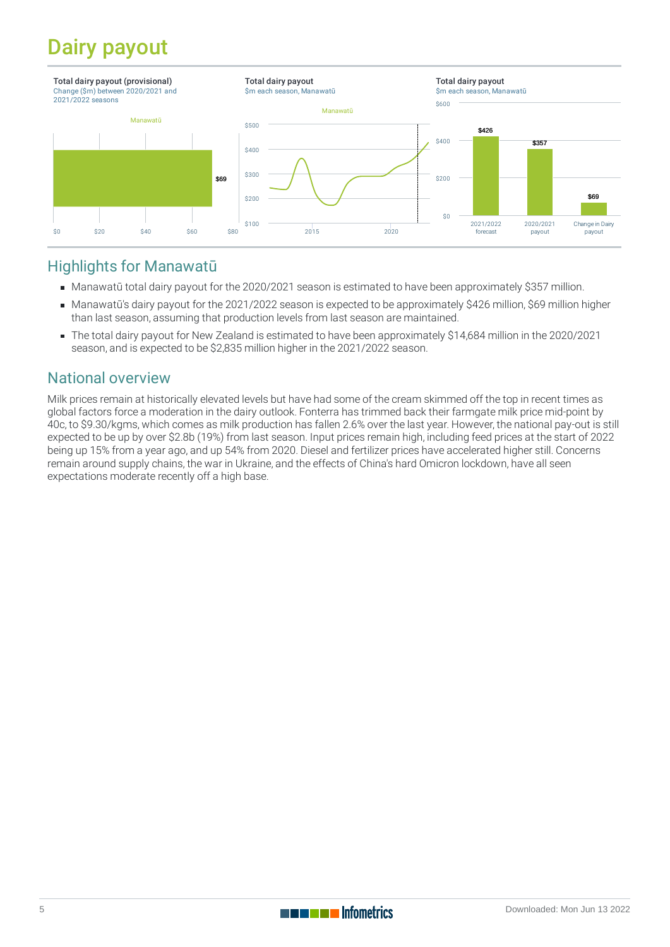## Dairy payout



## Highlights for Manawatū

- Manawatū total dairy payout for the 2020/2021 season is estimated to have been approximately \$357 million.
- Manawatū's dairy payout for the 2021/2022 season is expected to be approximately \$426 million, \$69 million higher than last season, assuming that production levels from last season are maintained.
- The total dairy payout for New Zealand is estimated to have been approximately \$14,684 million in the 2020/2021 season, and is expected to be \$2,835 million higher in the 2021/2022 season.

## National overview

Milk prices remain at historically elevated levels but have had some of the cream skimmed off the top in recent times as global factors force a moderation in the dairy outlook. Fonterra has trimmed back their farmgate milk price mid-point by 40c, to \$9.30/kgms, which comes as milk production has fallen 2.6% over the last year. However, the national pay-out is still expected to be up by over \$2.8b (19%) from last season. Input prices remain high, including feed prices at the start of 2022 being up 15% from a year ago, and up 54% from 2020. Diesel and fertilizer prices have accelerated higher still. Concerns remain around supply chains, the war in Ukraine, and the effects of China's hard Omicron lockdown, have all seen expectations moderate recently off a high base.

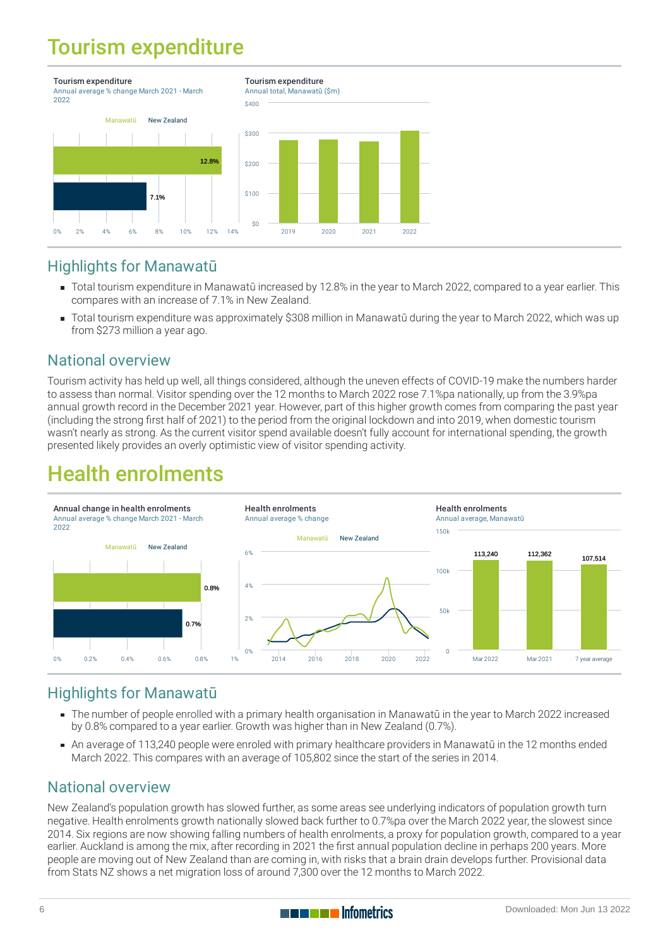## Tourism expenditure



## Highlights for Manawatū

- Total tourism expenditure in Manawatū increased by 12.8% in the year to March 2022, compared to a year earlier. This compares with an increase of 7.1% in New Zealand.
- Total tourism expenditure was approximately \$308 million in Manawatū during the year to March 2022, which was up from \$273 million a year ago.

### National overview

Tourism activity has held up well, all things considered, although the uneven effects of COVID-19 make the numbers harder to assess than normal. Visitor spending over the 12 months to March 2022 rose 7.1%pa nationally, up from the 3.9%pa annual growth record in the December 2021 year. However, part of this higher growth comes from comparing the past year (including the strong first half of 2021) to the period from the original lockdown and into 2019, when domestic tourism wasn't nearly as strong. As the current visitor spend available doesn't fully account for international spending, the growth presented likely provides an overly optimistic view of visitor spending activity.

## Health enrolments



## Highlights for Manawatū

- The number of people [enrolled](https://qem.infometrics.co.nz/manawatu-all/notes#health-enrolments) with a primary health organisation in Manawatū in the year to March 2022 increased by 0.8% compared to a year earlier. Growth was higher than in New Zealand (0.7%).
- An average of 113,240 people were enroled with primary healthcare providers in Manawatū in the 12 months ended March 2022. This compares with an average of 105,802 since the start of the series in 2014.

## National overview

New Zealand's population growth has slowed further, as some areas see underlying indicators of population growth turn negative. Health enrolments growth nationally slowed back further to 0.7%pa over the March 2022 year, the slowest since 2014. Six regions are now showing falling numbers of health enrolments, a proxy for population growth, compared to a year earlier. Auckland is among the mix, after recording in 2021 the first annual population decline in perhaps 200 years. More people are moving out of New Zealand than are coming in, with risks that a brain drain develops further. Provisional data from Stats NZ shows a net migration loss of around 7,300 over the 12 months to March 2022.

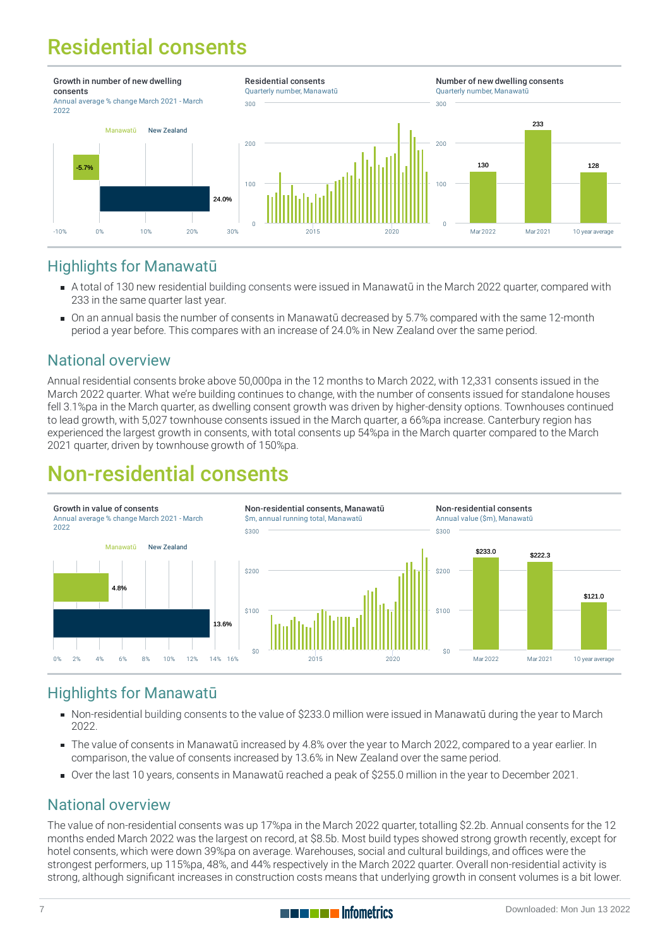## Residential consents



## Highlights for Manawatū

- A total of 130 new residential building [consents](https://qem.infometrics.co.nz/manawatu-all/notes#building-consents) were issued in Manawatū in the March 2022 quarter, compared with 233 in the same quarter last year.
- On an annual basis the number of consents in Manawatū decreased by 5.7% compared with the same 12-month period a year before. This compares with an increase of 24.0% in New Zealand over the same period.

## National overview

Annual residential consents broke above 50,000pa in the 12 months to March 2022, with 12,331 consents issued in the March 2022 quarter. What we're building continues to change, with the number of consents issued for standalone houses fell 3.1%pa in the March quarter, as dwelling consent growth was driven by higher-density options. Townhouses continued to lead growth, with 5,027 townhouse consents issued in the March quarter, a 66%pa increase. Canterbury region has experienced the largest growth in consents, with total consents up 54%pa in the March quarter compared to the March 2021 quarter, driven by townhouse growth of 150%pa.

## Non-residential consents



## Highlights for Manawatū

- Non-residential building [consents](https://qem.infometrics.co.nz/manawatu-all/notes#building-consents) to the value of \$233.0 million were issued in Manawatū during the year to March 2022.
- The value of consents in Manawatū increased by 4.8% over the year to March 2022, compared to a year earlier. In comparison, the value of consents increased by 13.6% in New Zealand over the same period.
- Over the last 10 years, consents in Manawatū reached a peak of \$255.0 million in the year to December 2021.

## National overview

The value of non-residential consents was up 17%pa in the March 2022 quarter, totalling \$2.2b. Annual consents for the 12 months ended March 2022 was the largest on record, at \$8.5b. Most build types showed strong growth recently, except for hotel consents, which were down 39%pa on average. Warehouses, social and cultural buildings, and offices were the strongest performers, up 115%pa, 48%, and 44% respectively in the March 2022 quarter. Overall non-residential activity is strong, although significant increases in construction costs means that underlying growth in consent volumes is a bit lower.

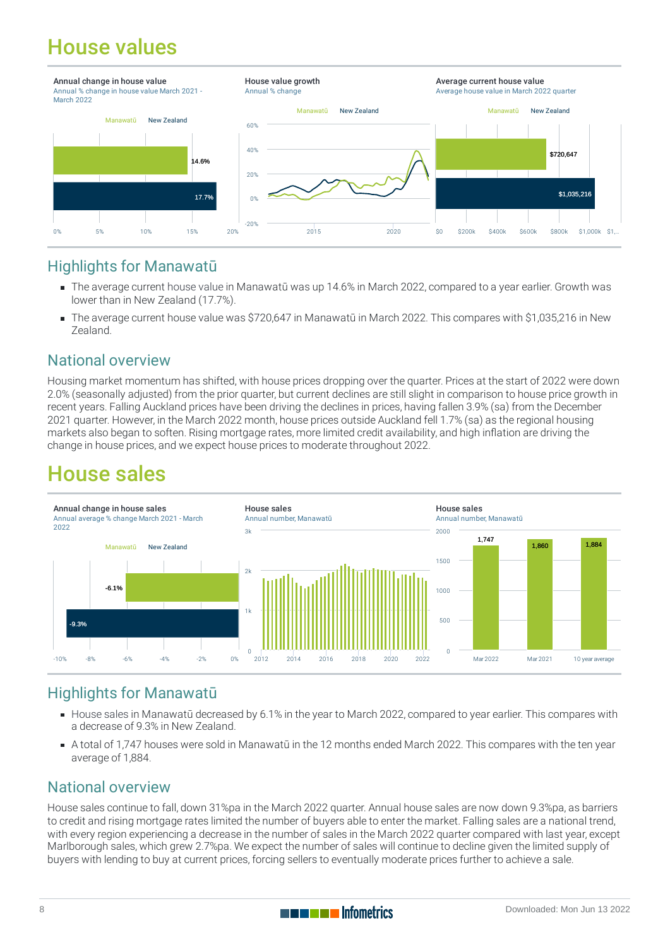## House values



## Highlights for Manawatū

- The average current [house](https://qem.infometrics.co.nz/manawatu-all/notes#house-values) value in Manawatū was up 14.6% in March 2022, compared to a year earlier. Growth was lower than in New Zealand (17.7%).
- The average current house value was \$720,647 in Manawatū in March 2022. This compares with \$1,035,216 in New Zealand.

## National overview

Housing market momentum has shifted, with house prices dropping over the quarter. Prices at the start of 2022 were down 2.0% (seasonally adjusted) from the prior quarter, but current declines are still slight in comparison to house price growth in recent years. Falling Auckland prices have been driving the declines in prices, having fallen 3.9% (sa) from the December 2021 quarter. However, in the March 2022 month, house prices outside Auckland fell 1.7% (sa) as the regional housing markets also began to soften. Rising mortgage rates, more limited credit availability, and high inflation are driving the change in house prices, and we expect house prices to moderate throughout 2022.

## House sales



## Highlights for Manawatū

- [House](https://qem.infometrics.co.nz/manawatu-all/notes#house-sales) sales in Manawatū decreased by 6.1% in the year to March 2022, compared to year earlier. This compares with a decrease of 9.3% in New Zealand.
- A total of 1,747 houses were sold in Manawatū in the 12 months ended March 2022. This compares with the ten year average of 1,884.

## National overview

House sales continue to fall, down 31%pa in the March 2022 quarter. Annual house sales are now down 9.3%pa, as barriers to credit and rising mortgage rates limited the number of buyers able to enter the market. Falling sales are a national trend, with every region experiencing a decrease in the number of sales in the March 2022 quarter compared with last year, except Marlborough sales, which grew 2.7%pa. We expect the number of sales will continue to decline given the limited supply of buyers with lending to buy at current prices, forcing sellers to eventually moderate prices further to achieve a sale.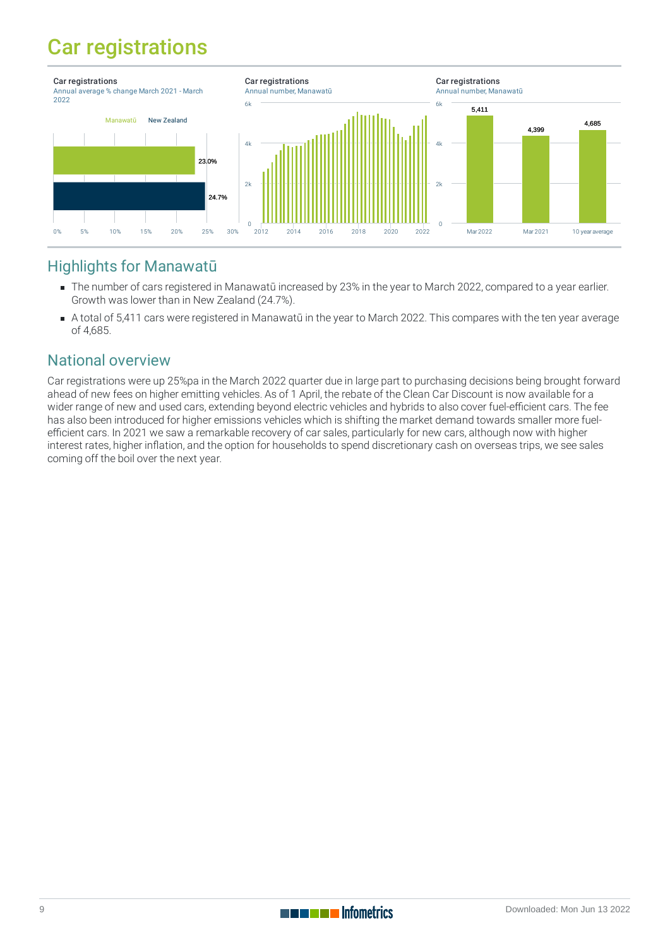## Car registrations



## Highlights for Manawatū

- The number of cars registered in Manawatū increased by 23% in the year to March 2022, compared to a year earlier. Growth was lower than in New Zealand (24.7%).
- A total of 5,411 cars were registered in Manawatū in the year to March 2022. This compares with the ten year average of 4,685.

## National overview

Car registrations were up 25%pa in the March 2022 quarter due in large part to purchasing decisions being brought forward ahead of new fees on higher emitting vehicles. As of 1 April, the rebate of the Clean Car Discount is now available for a wider range of new and used cars, extending beyond electric vehicles and hybrids to also cover fuel-efficient cars. The fee has also been introduced for higher emissions vehicles which is shifting the market demand towards smaller more fuelefficient cars. In 2021 we saw a remarkable recovery of car sales, particularly for new cars, although now with higher interest rates, higher inflation, and the option for households to spend discretionary cash on overseas trips, we see sales coming off the boil over the next year.

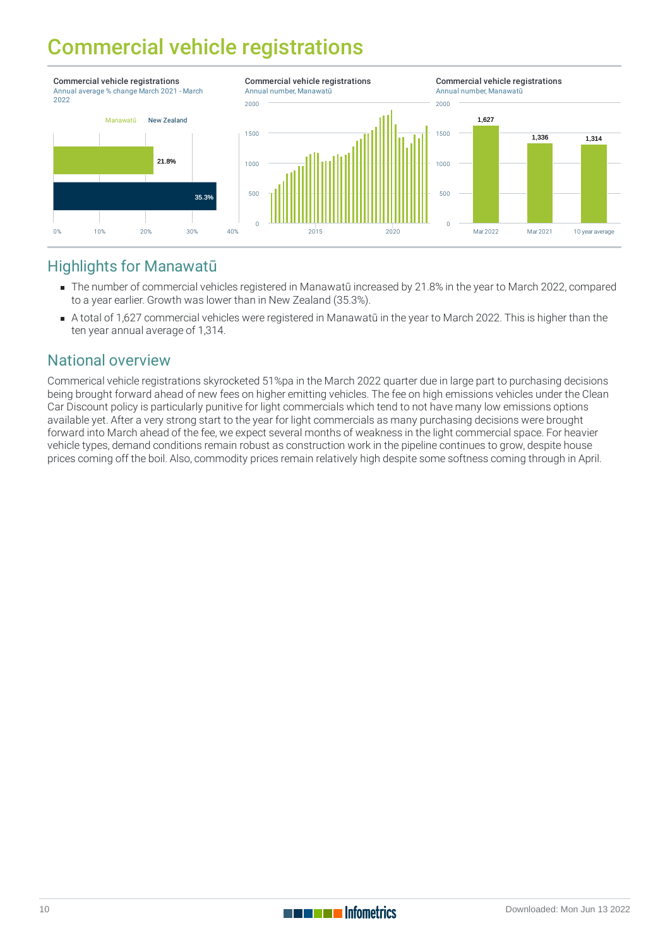## Commercial vehicle registrations



## Highlights for Manawatū

- The number of commercial vehicles registered in Manawatū increased by 21.8% in the year to March 2022, compared to a year earlier. Growth was lower than in New Zealand (35.3%).
- A total of 1,627 commercial vehicles were registered in Manawatū in the year to March 2022. This is higher than the ten year annual average of 1,314.

## National overview

Commerical vehicle registrations skyrocketed 51%pa in the March 2022 quarter due in large part to purchasing decisions being brought forward ahead of new fees on higher emitting vehicles. The fee on high emissions vehicles under the Clean Car Discount policy is particularly punitive for light commercials which tend to not have many low emissions options available yet. After a very strong start to the year for light commercials as many purchasing decisions were brought forward into March ahead of the fee, we expect several months of weakness in the light commercial space. For heavier vehicle types, demand conditions remain robust as construction work in the pipeline continues to grow, despite house prices coming off the boil. Also, commodity prices remain relatively high despite some softness coming through in April.



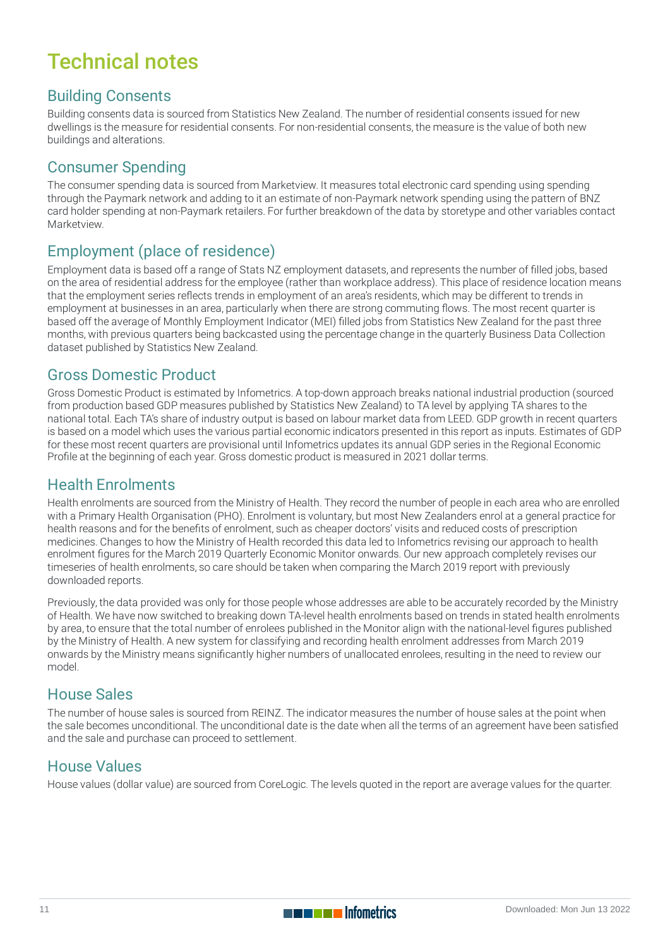## Technical notes

### Building Consents

Building consents data is sourced from Statistics New Zealand. The number of residential consents issued for new dwellings is the measure for residential consents. For non-residential consents, the measure is the value of both new buildings and alterations.

### Consumer Spending

The consumer spending data is sourced from Marketview. It measures total electronic card spending using spending through the Paymark network and adding to it an estimate of non-Paymark network spending using the pattern of BNZ card holder spending at non-Paymark retailers. For further breakdown of the data by storetype and other variables contact Marketview.

## Employment (place of residence)

Employment data is based off a range of Stats NZ employment datasets, and represents the number of filled jobs, based on the area of residential address for the employee (rather than workplace address). This place of residence location means that the employment series reflects trends in employment of an area's residents, which may be different to trends in employment at businesses in an area, particularly when there are strong commuting flows. The most recent quarter is based off the average of Monthly Employment Indicator (MEI) filled jobs from Statistics New Zealand for the past three months, with previous quarters being backcasted using the percentage change in the quarterly Business Data Collection dataset published by Statistics New Zealand.

### Gross Domestic Product

Gross Domestic Product is estimated by Infometrics. A top-down approach breaks national industrial production (sourced from production based GDP measures published by Statistics New Zealand) to TA level by applying TA shares to the national total. Each TA's share of industry output is based on labour market data from LEED. GDP growth in recent quarters is based on a model which uses the various partial economic indicators presented in this report as inputs. Estimates of GDP for these most recent quarters are provisional until Infometrics updates its annual GDP series in the Regional Economic Profile at the beginning of each year. Gross domestic product is measured in 2021 dollar terms.

#### Health Enrolments

Health enrolments are sourced from the Ministry of Health. They record the number of people in each area who are enrolled with a Primary Health Organisation (PHO). Enrolment is voluntary, but most New Zealanders enrol at a general practice for health reasons and for the benefits of enrolment, such as cheaper doctors' visits and reduced costs of prescription medicines. Changes to how the Ministry of Health recorded this data led to Infometrics revising our approach to health enrolment figures for the March 2019 Quarterly Economic Monitor onwards. Our new approach completely revises our timeseries of health enrolments, so care should be taken when comparing the March 2019 report with previously downloaded reports.

Previously, the data provided was only for those people whose addresses are able to be accurately recorded by the Ministry of Health. We have now switched to breaking down TA-level health enrolments based on trends in stated health enrolments by area, to ensure that the total number of enrolees published in the Monitor align with the national-level figures published by the Ministry of Health. A new system for classifying and recording health enrolment addresses from March 2019 onwards by the Ministry means significantly higher numbers of unallocated enrolees, resulting in the need to review our model.

#### House Sales

The number of house sales is sourced from REINZ. The indicator measures the number of house sales at the point when the sale becomes unconditional. The unconditional date is the date when all the terms of an agreement have been satisfied and the sale and purchase can proceed to settlement.

## House Values

House values (dollar value) are sourced from CoreLogic. The levels quoted in the report are average values for the quarter.